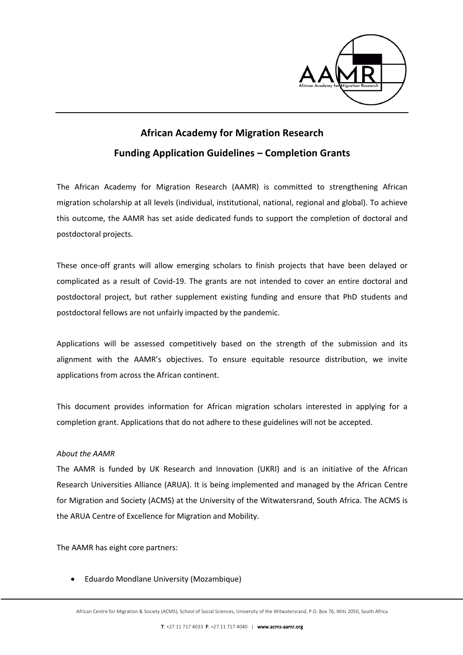

# **African Academy for Migration Research Funding Application Guidelines – Completion Grants**

The African Academy for Migration Research (AAMR) is committed to strengthening African migration scholarship at all levels (individual, institutional, national, regional and global). To achieve this outcome, the AAMR has set aside dedicated funds to support the completion of doctoral and postdoctoral projects.

These once-off grants will allow emerging scholars to finish projects that have been delayed or complicated as a result of Covid-19. The grants are not intended to cover an entire doctoral and postdoctoral project, but rather supplement existing funding and ensure that PhD students and postdoctoral fellows are not unfairly impacted by the pandemic.

Applications will be assessed competitively based on the strength of the submission and its alignment with the AAMR's objectives. To ensure equitable resource distribution, we invite applications from across the African continent.

This document provides information for African migration scholars interested in applying for a completion grant. Applications that do not adhere to these guidelines will not be accepted.

## *About the AAMR*

The AAMR is funded by UK Research and Innovation (UKRI) and is an initiative of the African Research Universities Alliance (ARUA). It is being implemented and managed by the African Centre for Migration and Society (ACMS) at the University of the Witwatersrand, South Africa. The ACMS is the ARUA Centre of Excellence for Migration and Mobility.

The AAMR has eight core partners:

• Eduardo Mondlane University (Mozambique)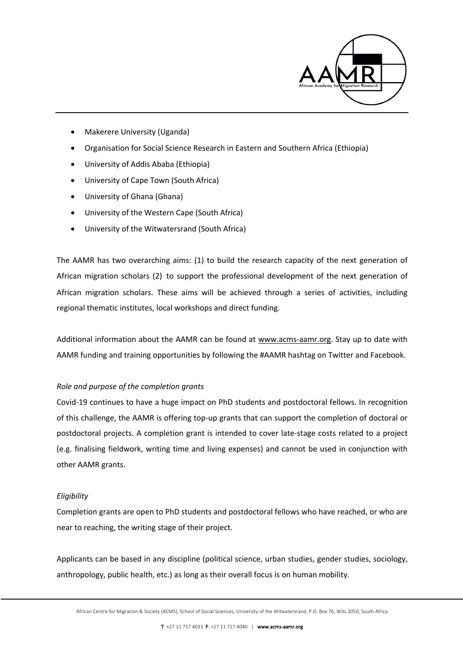

- Makerere University (Uganda)
- Organisation for Social Science Research in Eastern and Southern Africa (Ethiopia)
- University of Addis Ababa (Ethiopia)
- University of Cape Town (South Africa)
- University of Ghana (Ghana)
- University of the Western Cape (South Africa)
- University of the Witwatersrand (South Africa)

The AAMR has two overarching aims: (1) to build the research capacity of the next generation of African migration scholars (2) to support the professional development of the next generation of African migration scholars. These aims will be achieved through a series of activities, including regional thematic institutes, local workshops and direct funding.

Additional information about the AAMR can be found at www.acms-aamr.org. Stay up to date with AAMR funding and training opportunities by following the #AAMR hashtag on Twitter and Facebook.

## *Role and purpose of the completion grants*

Covid-19 continues to have a huge impact on PhD students and postdoctoral fellows. In recognition of this challenge, the AAMR is offering top-up grants that can support the completion of doctoral or postdoctoral projects. A completion grant is intended to cover late-stage costs related to a project (e.g. finalising fieldwork, writing time and living expenses) and cannot be used in conjunction with other AAMR grants.

## *Eligibility*

Completion grants are open to PhD students and postdoctoral fellows who have reached, or who are near to reaching, the writing stage of their project.

Applicants can be based in any discipline (political science, urban studies, gender studies, sociology, anthropology, public health, etc.) as long as their overall focus is on human mobility.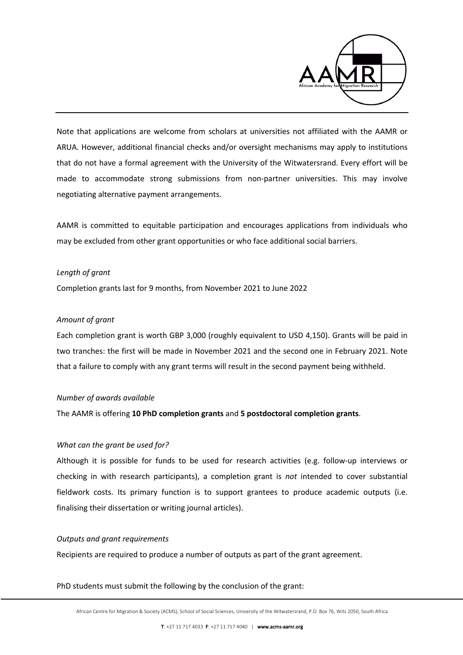

Note that applications are welcome from scholars at universities not affiliated with the AAMR or ARUA. However, additional financial checks and/or oversight mechanisms may apply to institutions that do not have a formal agreement with the University of the Witwatersrand. Every effort will be made to accommodate strong submissions from non-partner universities. This may involve negotiating alternative payment arrangements.

AAMR is committed to equitable participation and encourages applications from individuals who may be excluded from other grant opportunities or who face additional social barriers.

## *Length of grant*

Completion grants last for 9 months, from November 2021 to June 2022

### *Amount of grant*

Each completion grant is worth GBP 3,000 (roughly equivalent to USD 4,150). Grants will be paid in two tranches: the first will be made in November 2021 and the second one in February 2021. Note that a failure to comply with any grant terms will result in the second payment being withheld.

#### *Number of awards available*

The AAMR is offering **10 PhD completion grants** and **5 postdoctoral completion grants**.

## *What can the grant be used for?*

Although it is possible for funds to be used for research activities (e.g. follow-up interviews or checking in with research participants), a completion grant is *not* intended to cover substantial fieldwork costs. Its primary function is to support grantees to produce academic outputs (i.e. finalising their dissertation or writing journal articles).

#### *Outputs and grant requirements*

Recipients are required to produce a number of outputs as part of the grant agreement.

PhD students must submit the following by the conclusion of the grant: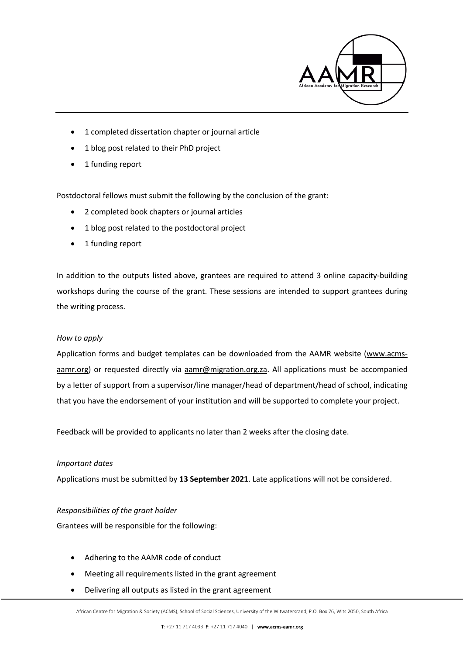

- 1 completed dissertation chapter or journal article
- 1 blog post related to their PhD project
- 1 funding report

Postdoctoral fellows must submit the following by the conclusion of the grant:

- 2 completed book chapters or journal articles
- 1 blog post related to the postdoctoral project
- 1 funding report

In addition to the outputs listed above, grantees are required to attend 3 online capacity-building workshops during the course of the grant. These sessions are intended to support grantees during the writing process.

## *How to apply*

Application forms and budget templates can be downloaded from the AAMR website (www.acmsaamr.org) or requested directly via aamr@migration.org.za. All applications must be accompanied by a letter of support from a supervisor/line manager/head of department/head of school, indicating that you have the endorsement of your institution and will be supported to complete your project.

Feedback will be provided to applicants no later than 2 weeks after the closing date.

## *Important dates*

Applications must be submitted by **13 September 2021**. Late applications will not be considered.

## *Responsibilities of the grant holder*

Grantees will be responsible for the following:

- Adhering to the AAMR code of conduct
- Meeting all requirements listed in the grant agreement
- Delivering all outputs as listed in the grant agreement